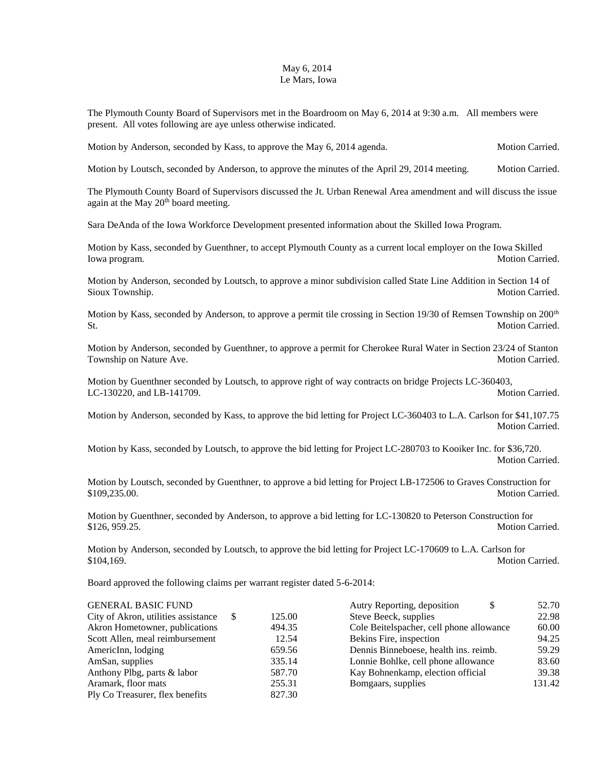## May 6, 2014 Le Mars, Iowa

The Plymouth County Board of Supervisors met in the Boardroom on May 6, 2014 at 9:30 a.m. All members were present. All votes following are aye unless otherwise indicated.

Motion by Anderson, seconded by Kass, to approve the May 6, 2014 agenda. Motion Carried.

Motion by Loutsch, seconded by Anderson, to approve the minutes of the April 29, 2014 meeting. Motion Carried.

The Plymouth County Board of Supervisors discussed the Jt. Urban Renewal Area amendment and will discuss the issue again at the May 20<sup>th</sup> board meeting.

Sara DeAnda of the Iowa Workforce Development presented information about the Skilled Iowa Program.

Motion by Kass, seconded by Guenthner, to accept Plymouth County as a current local employer on the Iowa Skilled Iowa program. Motion Carried. Notion Carried.

Motion by Anderson, seconded by Loutsch, to approve a minor subdivision called State Line Addition in Section 14 of Sioux Township. Motion Carried.

Motion by Kass, seconded by Anderson, to approve a permit tile crossing in Section 19/30 of Remsen Township on 200<sup>th</sup> St. Motion Carried.

Motion by Anderson, seconded by Guenthner, to approve a permit for Cherokee Rural Water in Section 23/24 of Stanton Township on Nature Ave. Motion Carried.

Motion by Guenthner seconded by Loutsch, to approve right of way contracts on bridge Projects LC-360403, LC-130220, and LB-141709. Motion Carried.

Motion by Anderson, seconded by Kass, to approve the bid letting for Project LC-360403 to L.A. Carlson for \$41,107.75 Motion Carried.

Motion by Kass, seconded by Loutsch, to approve the bid letting for Project LC-280703 to Kooiker Inc. for \$36,720. Motion Carried.

Motion by Loutsch, seconded by Guenthner, to approve a bid letting for Project LB-172506 to Graves Construction for \$109,235.00. Motion Carried.

Motion by Guenthner, seconded by Anderson, to approve a bid letting for LC-130820 to Peterson Construction for \$126, 959.25. Motion Carried.

Motion by Anderson, seconded by Loutsch, to approve the bid letting for Project LC-170609 to L.A. Carlson for \$104,169. Motion Carried.

Board approved the following claims per warrant register dated 5-6-2014:

| <b>GENERAL BASIC FUND</b>           |        | Autry Reporting, deposition<br>\$        | 52.70  |
|-------------------------------------|--------|------------------------------------------|--------|
| City of Akron, utilities assistance | 125.00 | Steve Beeck, supplies                    | 22.98  |
| Akron Hometowner, publications      | 494.35 | Cole Beitelspacher, cell phone allowance | 60.00  |
| Scott Allen, meal reimbursement     | 12.54  | Bekins Fire, inspection                  | 94.25  |
| AmericInn, lodging                  | 659.56 | Dennis Binneboese, health ins. reimb.    | 59.29  |
| AmSan, supplies                     | 335.14 | Lonnie Bohlke, cell phone allowance      | 83.60  |
| Anthony Plbg, parts & labor         | 587.70 | Kay Bohnenkamp, election official        | 39.38  |
| Aramark, floor mats                 | 255.31 | Bomgaars, supplies                       | 131.42 |
| Ply Co Treasurer, flex benefits     | 827.30 |                                          |        |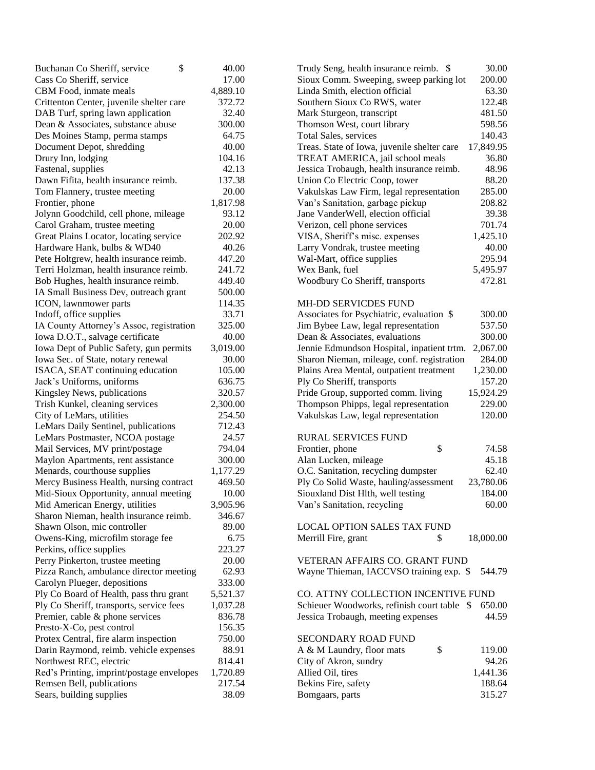| \$<br>Buchanan Co Sheriff, service        | 40.00    | 30.00<br>Trudy Seng, health insurance reimb. \$          |
|-------------------------------------------|----------|----------------------------------------------------------|
| Cass Co Sheriff, service                  | 17.00    | 200.00<br>Sioux Comm. Sweeping, sweep parking lot        |
| CBM Food, inmate meals                    | 4,889.10 | 63.30<br>Linda Smith, election official                  |
| Crittenton Center, juvenile shelter care  | 372.72   | 122.48<br>Southern Sioux Co RWS, water                   |
| DAB Turf, spring lawn application         | 32.40    | 481.50<br>Mark Sturgeon, transcript                      |
| Dean & Associates, substance abuse        | 300.00   | Thomson West, court library<br>598.56                    |
| Des Moines Stamp, perma stamps            | 64.75    | Total Sales, services<br>140.43                          |
| Document Depot, shredding                 | 40.00    | 17,849.95<br>Treas. State of Iowa, juvenile shelter care |
| Drury Inn, lodging                        | 104.16   | TREAT AMERICA, jail school meals<br>36.80                |
| Fastenal, supplies                        | 42.13    | 48.96<br>Jessica Trobaugh, health insurance reimb.       |
| Dawn Fifita, health insurance reimb.      | 137.38   | 88.20<br>Union Co Electric Coop, tower                   |
| Tom Flannery, trustee meeting             | 20.00    | Vakulskas Law Firm, legal representation<br>285.00       |
| Frontier, phone                           | 1,817.98 | Van's Sanitation, garbage pickup<br>208.82               |
| Jolynn Goodchild, cell phone, mileage     | 93.12    | 39.38<br>Jane VanderWell, election official              |
| Carol Graham, trustee meeting             | 20.00    | 701.74<br>Verizon, cell phone services                   |
| Great Plains Locator, locating service    | 202.92   | VISA, Sheriff's misc. expenses<br>1,425.10               |
| Hardware Hank, bulbs & WD40               | 40.26    | Larry Vondrak, trustee meeting<br>40.00                  |
| Pete Holtgrew, health insurance reimb.    | 447.20   | 295.94<br>Wal-Mart, office supplies                      |
| Terri Holzman, health insurance reimb.    | 241.72   | Wex Bank, fuel<br>5,495.97                               |
| Bob Hughes, health insurance reimb.       | 449.40   | Woodbury Co Sheriff, transports<br>472.81                |
| IA Small Business Dev, outreach grant     | 500.00   |                                                          |
| ICON, lawnmower parts                     | 114.35   | <b>MH-DD SERVICDES FUND</b>                              |
| Indoff, office supplies                   | 33.71    | Associates for Psychiatric, evaluation \$<br>300.00      |
| IA County Attorney's Assoc, registration  | 325.00   | Jim Bybee Law, legal representation<br>537.50            |
| Iowa D.O.T., salvage certificate          | 40.00    | Dean & Associates, evaluations<br>300.00                 |
| Iowa Dept of Public Safety, gun permits   | 3,019.00 | 2,067.00<br>Jennie Edmundson Hospital, inpatient trtm.   |
| Iowa Sec. of State, notary renewal        | 30.00    | 284.00<br>Sharon Nieman, mileage, conf. registration     |
| ISACA, SEAT continuing education          | 105.00   | 1,230.00<br>Plains Area Mental, outpatient treatment     |
| Jack's Uniforms, uniforms                 | 636.75   | 157.20<br>Ply Co Sheriff, transports                     |
| Kingsley News, publications               | 320.57   | Pride Group, supported comm. living<br>15,924.29         |
| Trish Kunkel, cleaning services           | 2,300.00 | Thompson Phipps, legal representation<br>229.00          |
| City of LeMars, utilities                 | 254.50   | 120.00<br>Vakulskas Law, legal representation            |
| LeMars Daily Sentinel, publications       | 712.43   |                                                          |
| LeMars Postmaster, NCOA postage           | 24.57    | <b>RURAL SERVICES FUND</b>                               |
| Mail Services, MV print/postage           | 794.04   | \$<br>Frontier, phone<br>74.58                           |
| Maylon Apartments, rent assistance        | 300.00   | Alan Lucken, mileage<br>45.18                            |
| Menards, courthouse supplies              | 1,177.29 | O.C. Sanitation, recycling dumpster<br>62.40             |
| Mercy Business Health, nursing contract   | 469.50   | Ply Co Solid Waste, hauling/assessment<br>23,780.06      |
| Mid-Sioux Opportunity, annual meeting     | 10.00    | Siouxland Dist Hlth, well testing<br>184.00              |
| Mid American Energy, utilities            | 3,905.96 | 60.00<br>Van's Sanitation, recycling                     |
| Sharon Nieman, health insurance reimb.    | 346.67   |                                                          |
| Shawn Olson, mic controller               | 89.00    | <b>LOCAL OPTION SALES TAX FUND</b>                       |
| Owens-King, microfilm storage fee         | 6.75     | 18,000.00<br>Merrill Fire, grant<br>\$                   |
| Perkins, office supplies                  | 223.27   |                                                          |
| Perry Pinkerton, trustee meeting          | 20.00    | VETERAN AFFAIRS CO. GRANT FUND                           |
| Pizza Ranch, ambulance director meeting   | 62.93    | Wayne Thieman, IACCVSO training exp. \$<br>544.79        |
| Carolyn Plueger, depositions              | 333.00   |                                                          |
| Ply Co Board of Health, pass thru grant   | 5,521.37 | CO. ATTNY COLLECTION INCENTIVE FUND                      |
| Ply Co Sheriff, transports, service fees  | 1,037.28 | Schieuer Woodworks, refinish court table \$<br>650.00    |
| Premier, cable & phone services           | 836.78   | Jessica Trobaugh, meeting expenses<br>44.59              |
| Presto-X-Co, pest control                 | 156.35   |                                                          |
| Protex Central, fire alarm inspection     | 750.00   | SECONDARY ROAD FUND                                      |
| Darin Raymond, reimb. vehicle expenses    | 88.91    | \$<br>119.00<br>A & M Laundry, floor mats                |
| Northwest REC, electric                   | 814.41   | City of Akron, sundry<br>94.26                           |
| Red's Printing, imprint/postage envelopes | 1,720.89 | Allied Oil, tires<br>1,441.36                            |
| Remsen Bell, publications                 | 217.54   | Bekins Fire, safety<br>188.64                            |
| Sears, building supplies                  | 38.09    | 315.27<br>Bomgaars, parts                                |